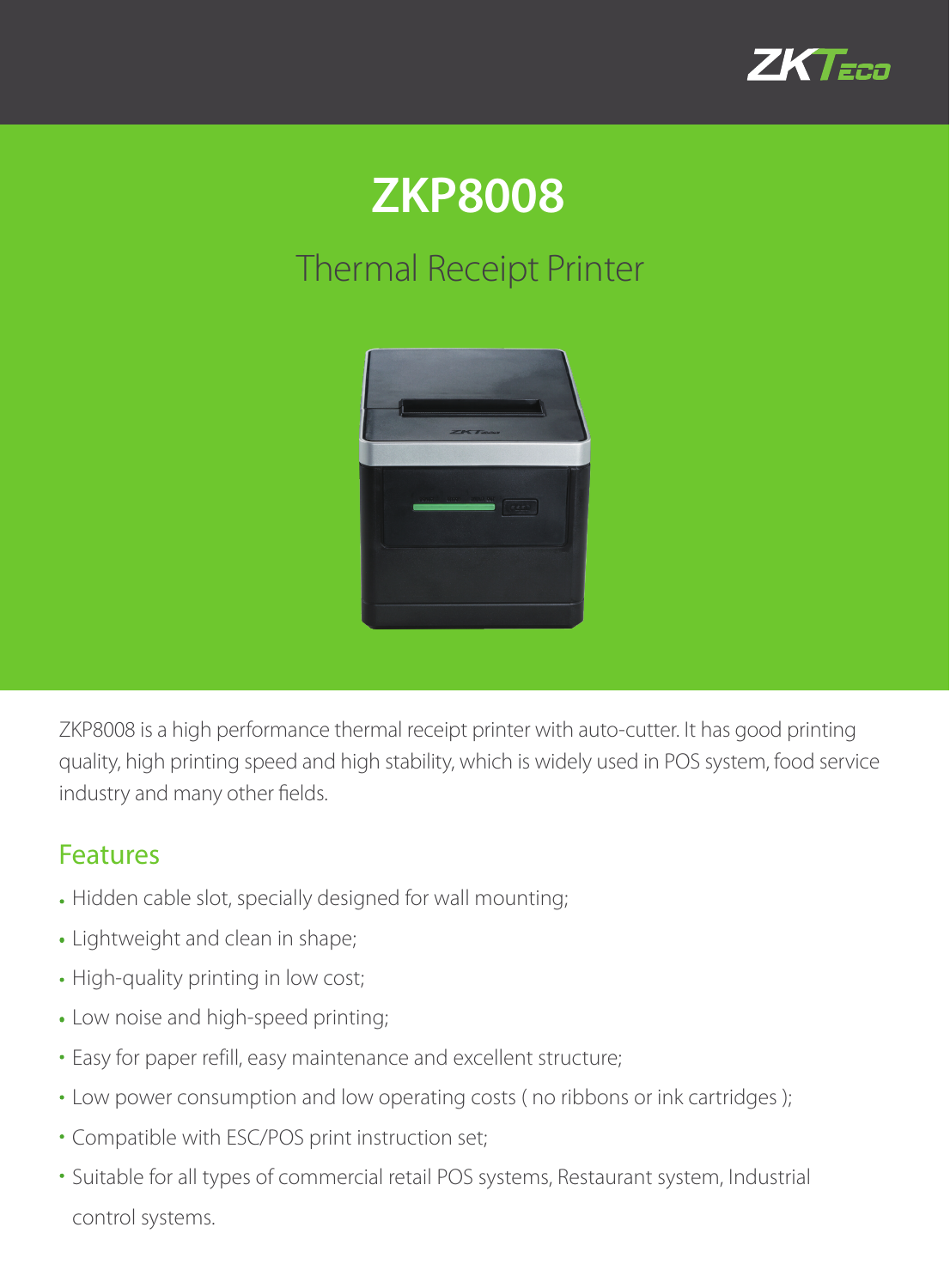

## **ZKP8008**

## Thermal Receipt Printer



ZKP8008 is a high performance thermal receipt printer with auto-cutter. It has good printing quality, high printing speed and high stability, which is widely used in POS system, food service industry and many other fields.

## Features

- Hidden cable slot, specially designed for wall mounting;
- Lightweight and clean in shape;
- High-quality printing in low cost;
- Low noise and high-speed printing;
- Easy for paper refill, easy maintenance and excellent structure;
- Low power consumption and low operating costs ( no ribbons or ink cartridges );
- Compatible with ESC/POS print instruction set;
- Suitable for all types of commercial retail POS systems, Restaurant system, Industrial control systems.